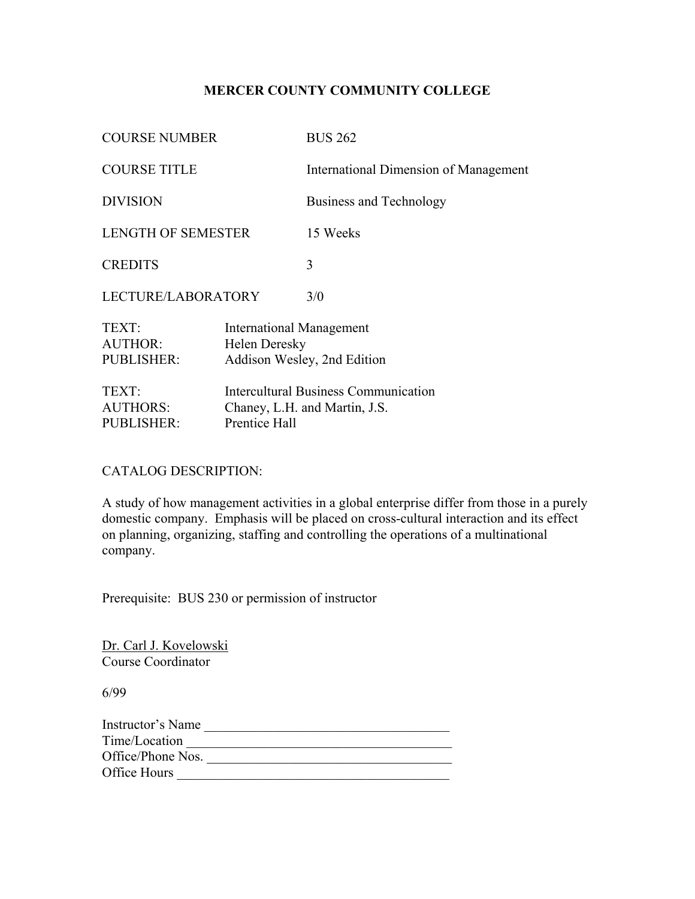# **MERCER COUNTY COMMUNITY COLLEGE**

| <b>COURSE NUMBER</b>                          |                                                  | <b>BUS 262</b>                                                               |
|-----------------------------------------------|--------------------------------------------------|------------------------------------------------------------------------------|
| <b>COURSE TITLE</b>                           |                                                  | <b>International Dimension of Management</b>                                 |
| <b>DIVISION</b>                               |                                                  | Business and Technology                                                      |
| <b>LENGTH OF SEMESTER</b>                     |                                                  | 15 Weeks                                                                     |
| <b>CREDITS</b>                                |                                                  | 3                                                                            |
| LECTURE/LABORATORY                            |                                                  | 3/0                                                                          |
| TEXT:<br><b>AUTHOR:</b><br>PUBLISHER:         | <b>International Management</b><br>Helen Deresky | Addison Wesley, 2nd Edition                                                  |
| TEXT:<br><b>AUTHORS:</b><br><b>PUBLISHER:</b> | Prentice Hall                                    | <b>Intercultural Business Communication</b><br>Chaney, L.H. and Martin, J.S. |

## CATALOG DESCRIPTION:

A study of how management activities in a global enterprise differ from those in a purely domestic company. Emphasis will be placed on cross-cultural interaction and its effect on planning, organizing, staffing and controlling the operations of a multinational company.

Prerequisite: BUS 230 or permission of instructor

Dr. Carl J. Kovelowski Course Coordinator

6/99

| Time/Location<br>Office/Phone Nos. | Instructor's Name |  |
|------------------------------------|-------------------|--|
|                                    |                   |  |
|                                    |                   |  |
| Office Hours                       |                   |  |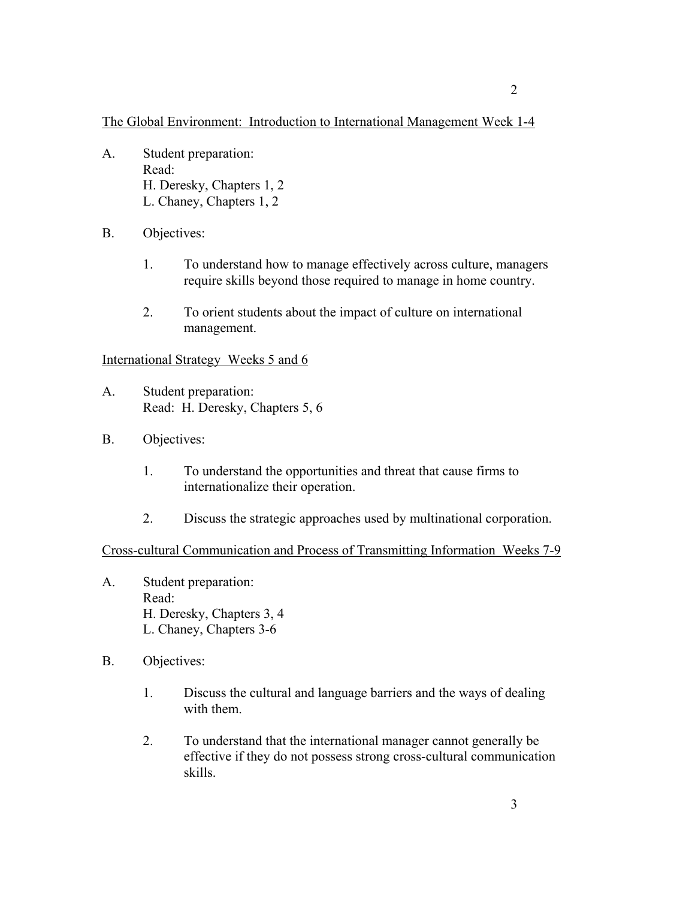The Global Environment: Introduction to International Management Week 1-4

- A. Student preparation: Read: H. Deresky, Chapters 1, 2 L. Chaney, Chapters 1, 2
- B. Objectives:
	- 1. To understand how to manage effectively across culture, managers require skills beyond those required to manage in home country.
	- 2. To orient students about the impact of culture on international management.

### International Strategy Weeks 5 and 6

- A. Student preparation: Read: H. Deresky, Chapters 5, 6
- B. Objectives:
	- 1. To understand the opportunities and threat that cause firms to internationalize their operation.
	- 2. Discuss the strategic approaches used by multinational corporation.

#### Cross-cultural Communication and Process of Transmitting Information Weeks 7-9

- A. Student preparation: Read: H. Deresky, Chapters 3, 4 L. Chaney, Chapters 3-6
- B. Objectives:
	- 1. Discuss the cultural and language barriers and the ways of dealing with them.
	- 2. To understand that the international manager cannot generally be effective if they do not possess strong cross-cultural communication skills.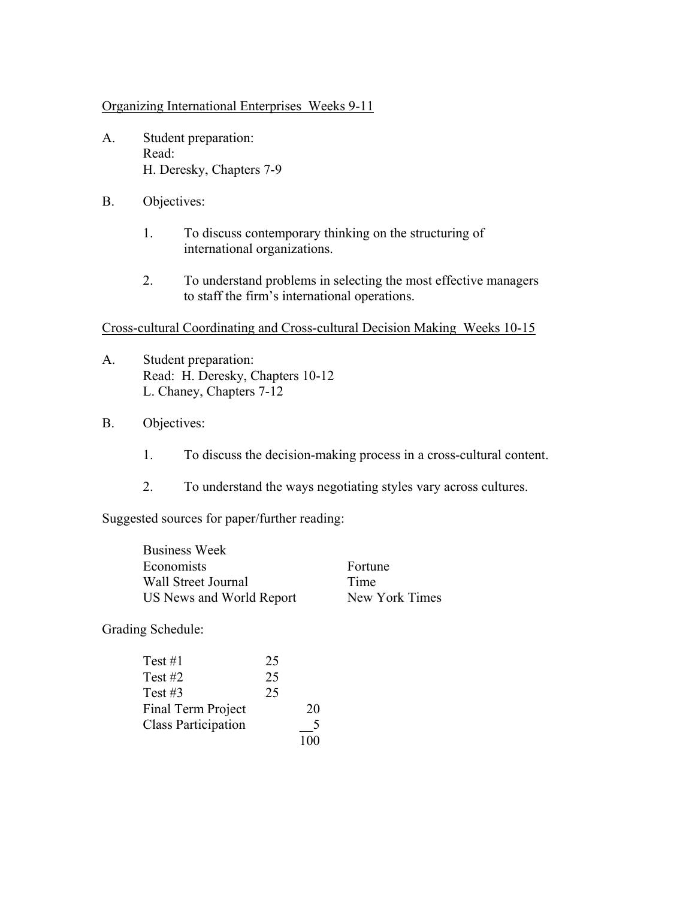Organizing International Enterprises Weeks 9-11

- A. Student preparation: Read: H. Deresky, Chapters 7-9
- B. Objectives:
	- 1. To discuss contemporary thinking on the structuring of international organizations.
	- 2. To understand problems in selecting the most effective managers to staff the firm's international operations.

### Cross-cultural Coordinating and Cross-cultural Decision Making Weeks 10-15

- A. Student preparation: Read: H. Deresky, Chapters 10-12 L. Chaney, Chapters 7-12
- B. Objectives:
	- 1. To discuss the decision-making process in a cross-cultural content.
	- 2. To understand the ways negotiating styles vary across cultures.

Suggested sources for paper/further reading:

| <b>Business Week</b>     |                |
|--------------------------|----------------|
| Economists               | Fortune        |
| Wall Street Journal      | Time           |
| US News and World Report | New York Times |
|                          |                |

Grading Schedule:

| Test #1                    | 25 |    |
|----------------------------|----|----|
| Test #2                    | 25 |    |
| Test $#3$                  | 25 |    |
| Final Term Project         |    | 20 |
| <b>Class Participation</b> |    |    |
|                            |    |    |